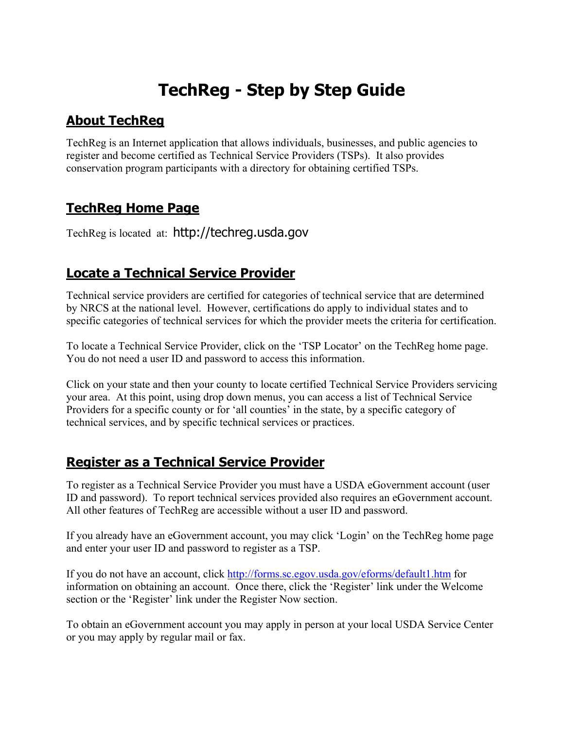# **TechReg - Step by Step Guide**

### **About TechReg**

TechReg is an Internet application that allows individuals, businesses, and public agencies to register and become certified as Technical Service Providers (TSPs). It also provides conservation program participants with a directory for obtaining certified TSPs.

# **TechReg Home Page**

TechReg is located at: http://techreg.usda.gov

# **Locate a Technical Service Provider**

Technical service providers are certified for categories of technical service that are determined by NRCS at the national level. However, certifications do apply to individual states and to specific categories of technical services for which the provider meets the criteria for certification.

To locate a Technical Service Provider, click on the 'TSP Locator' on the TechReg home page. You do not need a user ID and password to access this information.

Click on your state and then your county to locate certified Technical Service Providers servicing your area. At this point, using drop down menus, you can access a list of Technical Service Providers for a specific county or for 'all counties' in the state, by a specific category of technical services, and by specific technical services or practices.

# **Register as a Technical Service Provider**

To register as a Technical Service Provider you must have a USDA eGovernment account (user ID and password). To report technical services provided also requires an eGovernment account. All other features of TechReg are accessible without a user ID and password.

If you already have an eGovernment account, you may click 'Login' on the TechReg home page and enter your user ID and password to register as a TSP.

If you do not have an account, click http://forms.sc.egov.usda.gov/eforms/default1.htm for information on obtaining an account. Once there, click the 'Register' link under the Welcome section or the 'Register' link under the Register Now section.

To obtain an eGovernment account you may apply in person at your local USDA Service Center or you may apply by regular mail or fax.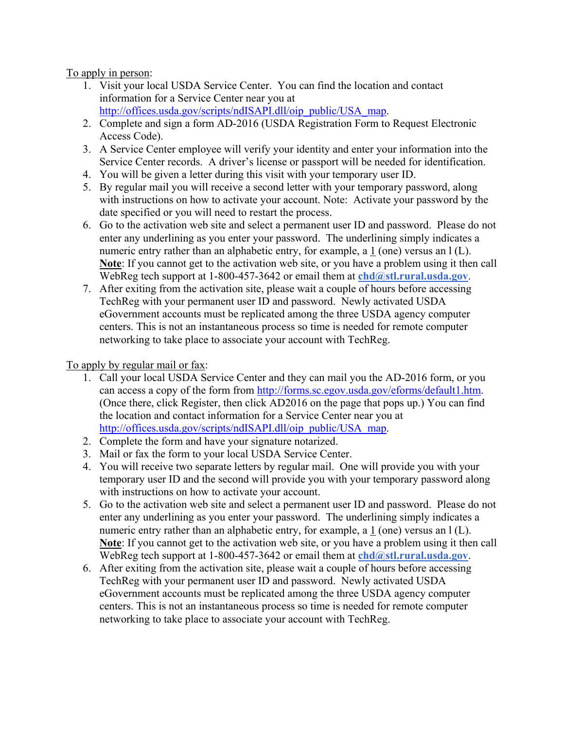#### To apply in person:

- 1. Visit your local USDA Service Center. You can find the location and contact information for a Service Center near you at http://offices.usda.gov/scripts/ndISAPI.dll/oip\_public/USA\_map.
- 2. Complete and sign a form AD-2016 (USDA Registration Form to Request Electronic Access Code).
- 3. A Service Center employee will verify your identity and enter your information into the Service Center records. A driver's license or passport will be needed for identification.
- 4. You will be given a letter during this visit with your temporary user ID.
- 5. By regular mail you will receive a second letter with your temporary password, along with instructions on how to activate your account. Note: Activate your password by the date specified or you will need to restart the process.
- 6. Go to the activation web site and select a permanent user ID and password. Please do not enter any underlining as you enter your password. The underlining simply indicates a numeric entry rather than an alphabetic entry, for example, a 1 (one) versus an 1(L). **Note**: If you cannot get to the activation web site, or you have a problem using it then call WebReg tech support at 1-800-457-3642 or email them at **chd**@stl.rural.usda.gov.
- 7. After exiting from the activation site, please wait a couple of hours before accessing TechReg with your permanent user ID and password. Newly activated USDA eGovernment accounts must be replicated among the three USDA agency computer centers. This is not an instantaneous process so time is needed for remote computer networking to take place to associate your account with TechReg.

#### To apply by regular mail or fax:

- 1. Call your local USDA Service Center and they can mail you the AD-2016 form, or you can access a copy of the form from http://forms.sc.egov.usda.gov/eforms/default1.htm. (Once there, click Register, then click AD2016 on the page that pops up.) You can find the location and contact information for a Service Center near you at http://offices.usda.gov/scripts/ndISAPI.dll/oip\_public/USA\_map.
- 2. Complete the form and have your signature notarized.
- 3. Mail or fax the form to your local USDA Service Center.
- 4. You will receive two separate letters by regular mail. One will provide you with your temporary user ID and the second will provide you with your temporary password along with instructions on how to activate your account.
- 5. Go to the activation web site and select a permanent user ID and password. Please do not enter any underlining as you enter your password. The underlining simply indicates a numeric entry rather than an alphabetic entry, for example, a  $1$  (one) versus an  $1(L)$ . **Note**: If you cannot get to the activation web site, or you have a problem using it then call WebReg tech support at 1-800-457-3642 or email them at **chd**@stl.rural.usda.gov.
- 6. After exiting from the activation site, please wait a couple of hours before accessing TechReg with your permanent user ID and password. Newly activated USDA eGovernment accounts must be replicated among the three USDA agency computer centers. This is not an instantaneous process so time is needed for remote computer networking to take place to associate your account with TechReg.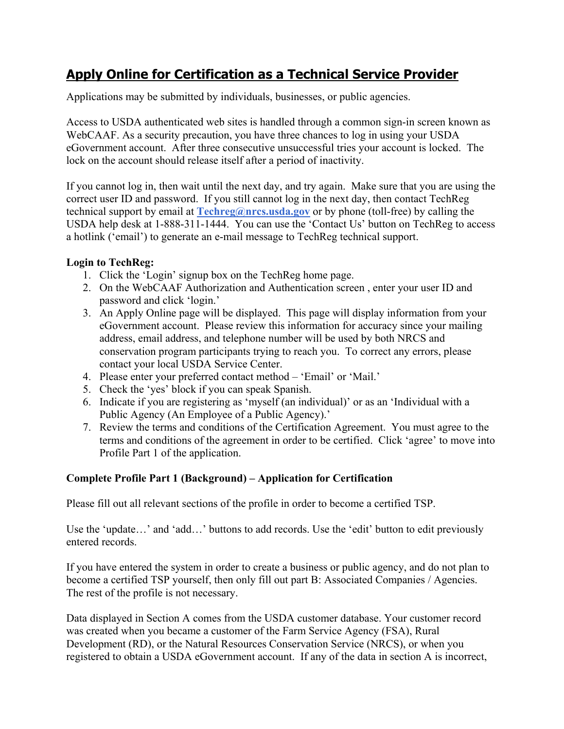# **Apply Online for Certification as a Technical Service Provider**

Applications may be submitted by individuals, businesses, or public agencies.

Access to USDA authenticated web sites is handled through a common sign-in screen known as WebCAAF. As a security precaution, you have three chances to log in using your USDA eGovernment account. After three consecutive unsuccessful tries your account is locked. The lock on the account should release itself after a period of inactivity.

If you cannot log in, then wait until the next day, and try again. Make sure that you are using the correct user ID and password. If you still cannot log in the next day, then contact TechReg technical support by email at **Techreg@nrcs.usda.gov** or by phone (toll-free) by calling the USDA help desk at 1-888-311-1444. You can use the 'Contact Us' button on TechReg to access a hotlink ('email') to generate an e-mail message to TechReg technical support.

#### **Login to TechReg:**

- 1. Click the 'Login' signup box on the TechReg home page.
- 2. On the WebCAAF Authorization and Authentication screen , enter your user ID and password and click 'login.'
- 3. An Apply Online page will be displayed. This page will display information from your eGovernment account. Please review this information for accuracy since your mailing address, email address, and telephone number will be used by both NRCS and conservation program participants trying to reach you. To correct any errors, please contact your local USDA Service Center.
- 4. Please enter your preferred contact method 'Email' or 'Mail.'
- 5. Check the 'yes' block if you can speak Spanish.
- 6. Indicate if you are registering as 'myself (an individual)' or as an 'Individual with a Public Agency (An Employee of a Public Agency).'
- 7. Review the terms and conditions of the Certification Agreement. You must agree to the terms and conditions of the agreement in order to be certified. Click 'agree' to move into Profile Part 1 of the application.

### **Complete Profile Part 1 (Background) – Application for Certification**

Please fill out all relevant sections of the profile in order to become a certified TSP.

Use the 'update…' and 'add…' buttons to add records. Use the 'edit' button to edit previously entered records.

If you have entered the system in order to create a business or public agency, and do not plan to become a certified TSP yourself, then only fill out part B: Associated Companies / Agencies. The rest of the profile is not necessary.

Data displayed in Section A comes from the USDA customer database. Your customer record was created when you became a customer of the Farm Service Agency (FSA), Rural Development (RD), or the Natural Resources Conservation Service (NRCS), or when you registered to obtain a USDA eGovernment account. If any of the data in section A is incorrect,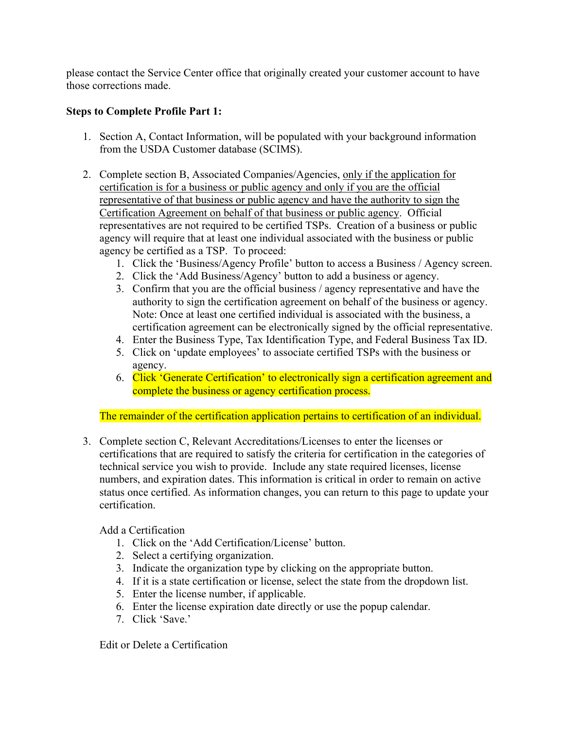please contact the Service Center office that originally created your customer account to have those corrections made.

#### **Steps to Complete Profile Part 1:**

- 1. Section A, Contact Information, will be populated with your background information from the USDA Customer database (SCIMS).
- 2. Complete section B, Associated Companies/Agencies, only if the application for certification is for a business or public agency and only if you are the official representative of that business or public agency and have the authority to sign the Certification Agreement on behalf of that business or public agency. Official representatives are not required to be certified TSPs. Creation of a business or public agency will require that at least one individual associated with the business or public agency be certified as a TSP. To proceed:
	- 1. Click the 'Business/Agency Profile' button to access a Business / Agency screen.
	- 2. Click the 'Add Business/Agency' button to add a business or agency.
	- 3. Confirm that you are the official business / agency representative and have the authority to sign the certification agreement on behalf of the business or agency. Note: Once at least one certified individual is associated with the business, a certification agreement can be electronically signed by the official representative.
	- 4. Enter the Business Type, Tax Identification Type, and Federal Business Tax ID.
	- 5. Click on 'update employees' to associate certified TSPs with the business or agency.
	- 6. Click 'Generate Certification' to electronically sign a certification agreement and complete the business or agency certification process.

The remainder of the certification application pertains to certification of an individual.

3. Complete section C, Relevant Accreditations/Licenses to enter the licenses or certifications that are required to satisfy the criteria for certification in the categories of technical service you wish to provide. Include any state required licenses, license numbers, and expiration dates. This information is critical in order to remain on active status once certified. As information changes, you can return to this page to update your certification.

### Add a Certification

- 1. Click on the 'Add Certification/License' button.
- 2. Select a certifying organization.
- 3. Indicate the organization type by clicking on the appropriate button.
- 4. If it is a state certification or license, select the state from the dropdown list.
- 5. Enter the license number, if applicable.
- 6. Enter the license expiration date directly or use the popup calendar.
- 7. Click 'Save.'

Edit or Delete a Certification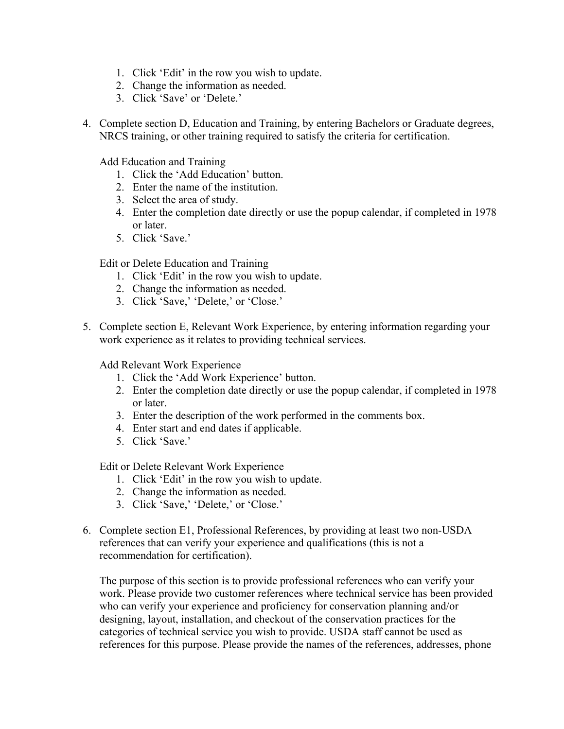- 1. Click 'Edit' in the row you wish to update.
- 2. Change the information as needed.
- 3. Click 'Save' or 'Delete.'
- 4. Complete section D, Education and Training, by entering Bachelors or Graduate degrees, NRCS training, or other training required to satisfy the criteria for certification.

Add Education and Training

- 1. Click the 'Add Education' button.
- 2. Enter the name of the institution.
- 3. Select the area of study.
- 4. Enter the completion date directly or use the popup calendar, if completed in 1978 or later.
- 5. Click 'Save.'

Edit or Delete Education and Training

- 1. Click 'Edit' in the row you wish to update.
- 2. Change the information as needed.
- 3. Click 'Save,' 'Delete,' or 'Close.'
- 5. Complete section E, Relevant Work Experience, by entering information regarding your work experience as it relates to providing technical services.

Add Relevant Work Experience

- 1. Click the 'Add Work Experience' button.
- 2. Enter the completion date directly or use the popup calendar, if completed in 1978 or later.
- 3. Enter the description of the work performed in the comments box.
- 4. Enter start and end dates if applicable.
- 5. Click 'Save.'

Edit or Delete Relevant Work Experience

- 1. Click 'Edit' in the row you wish to update.
- 2. Change the information as needed.
- 3. Click 'Save,' 'Delete,' or 'Close.'
- 6. Complete section E1, Professional References, by providing at least two non-USDA references that can verify your experience and qualifications (this is not a recommendation for certification).

The purpose of this section is to provide professional references who can verify your work. Please provide two customer references where technical service has been provided who can verify your experience and proficiency for conservation planning and/or designing, layout, installation, and checkout of the conservation practices for the categories of technical service you wish to provide. USDA staff cannot be used as references for this purpose. Please provide the names of the references, addresses, phone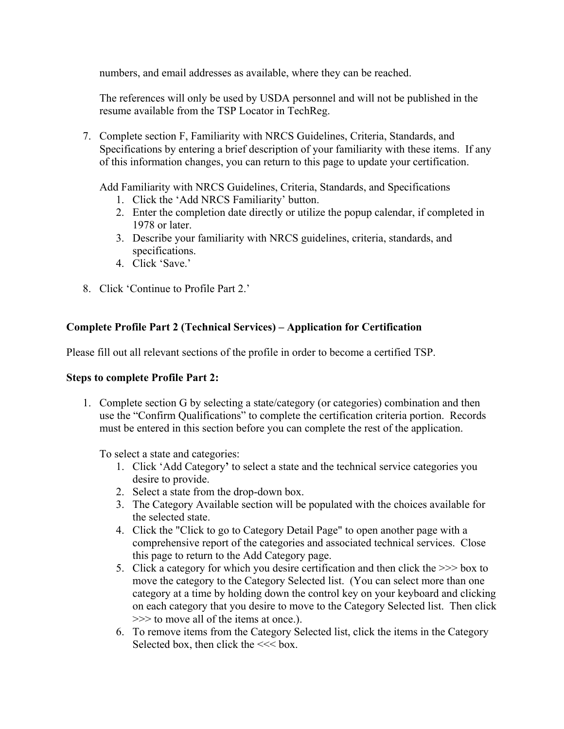numbers, and email addresses as available, where they can be reached.

The references will only be used by USDA personnel and will not be published in the resume available from the TSP Locator in TechReg.

7. Complete section F, Familiarity with NRCS Guidelines, Criteria, Standards, and Specifications by entering a brief description of your familiarity with these items. If any of this information changes, you can return to this page to update your certification.

Add Familiarity with NRCS Guidelines, Criteria, Standards, and Specifications

- 1. Click the 'Add NRCS Familiarity' button.
- 2. Enter the completion date directly or utilize the popup calendar, if completed in 1978 or later.
- 3. Describe your familiarity with NRCS guidelines, criteria, standards, and specifications.
- 4. Click 'Save.'
- 8. Click 'Continue to Profile Part 2.'

### **Complete Profile Part 2 (Technical Services) – Application for Certification**

Please fill out all relevant sections of the profile in order to become a certified TSP.

#### **Steps to complete Profile Part 2:**

1. Complete section G by selecting a state/category (or categories) combination and then use the "Confirm Qualifications" to complete the certification criteria portion. Records must be entered in this section before you can complete the rest of the application.

To select a state and categories:

- 1. Click 'Add Category**'** to select a state and the technical service categories you desire to provide.
- 2. Select a state from the drop-down box.
- 3. The Category Available section will be populated with the choices available for the selected state.
- 4. Click the "Click to go to Category Detail Page" to open another page with a comprehensive report of the categories and associated technical services. Close this page to return to the Add Category page.
- 5. Click a category for which you desire certification and then click the >>> box to move the category to the Category Selected list. (You can select more than one category at a time by holding down the control key on your keyboard and clicking on each category that you desire to move to the Category Selected list. Then click >>> to move all of the items at once.).
- 6. To remove items from the Category Selected list, click the items in the Category Selected box, then click the  $<<$  box.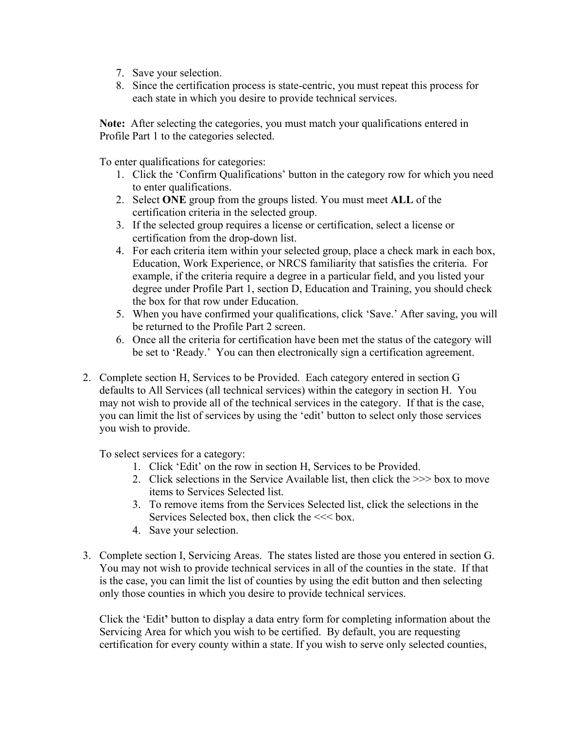- 7. Save your selection.
- 8. Since the certification process is state-centric, you must repeat this process for each state in which you desire to provide technical services.

**Note:** After selecting the categories, you must match your qualifications entered in Profile Part 1 to the categories selected.

To enter qualifications for categories:

- 1. Click the 'Confirm Qualifications' button in the category row for which you need to enter qualifications.
- 2. Select **ONE** group from the groups listed. You must meet **ALL** of the certification criteria in the selected group.
- 3. If the selected group requires a license or certification, select a license or certification from the drop-down list.
- 4. For each criteria item within your selected group, place a check mark in each box, Education, Work Experience, or NRCS familiarity that satisfies the criteria. For example, if the criteria require a degree in a particular field, and you listed your degree under Profile Part 1, section D, Education and Training, you should check the box for that row under Education.
- 5. When you have confirmed your qualifications, click 'Save.' After saving, you will be returned to the Profile Part 2 screen.
- 6. Once all the criteria for certification have been met the status of the category will be set to 'Ready.' You can then electronically sign a certification agreement.
- 2. Complete section H, Services to be Provided. Each category entered in section G defaults to All Services (all technical services) within the category in section H. You may not wish to provide all of the technical services in the category. If that is the case, you can limit the list of services by using the 'edit' button to select only those services you wish to provide.

To select services for a category:

- 1. Click 'Edit' on the row in section H, Services to be Provided.
- 2. Click selections in the Service Available list, then click the >>> box to move items to Services Selected list.
- 3. To remove items from the Services Selected list, click the selections in the Services Selected box, then click the  $<<$  box.
- 4. Save your selection.
- 3. Complete section I, Servicing Areas. The states listed are those you entered in section G. You may not wish to provide technical services in all of the counties in the state. If that is the case, you can limit the list of counties by using the edit button and then selecting only those counties in which you desire to provide technical services.

Click the 'Edit**'** button to display a data entry form for completing information about the Servicing Area for which you wish to be certified. By default, you are requesting certification for every county within a state. If you wish to serve only selected counties,